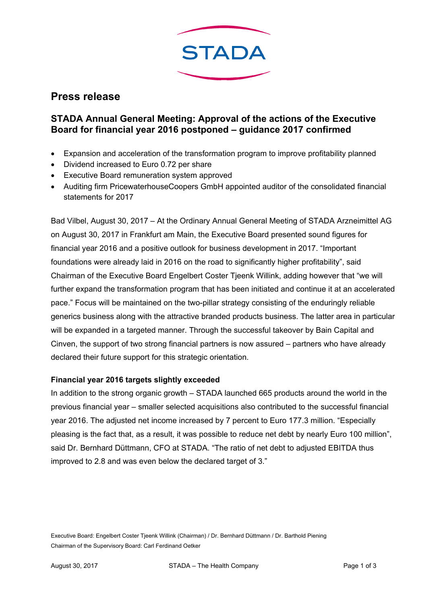

# **Press release**

## **STADA Annual General Meeting: Approval of the actions of the Executive Board for financial year 2016 postponed – guidance 2017 confirmed**

- Expansion and acceleration of the transformation program to improve profitability planned
- Dividend increased to Euro 0.72 per share
- Executive Board remuneration system approved
- Auditing firm PricewaterhouseCoopers GmbH appointed auditor of the consolidated financial statements for 2017

Bad Vilbel, August 30, 2017 – At the Ordinary Annual General Meeting of STADA Arzneimittel AG on August 30, 2017 in Frankfurt am Main, the Executive Board presented sound figures for financial year 2016 and a positive outlook for business development in 2017. "Important foundations were already laid in 2016 on the road to significantly higher profitability", said Chairman of the Executive Board Engelbert Coster Tjeenk Willink, adding however that "we will further expand the transformation program that has been initiated and continue it at an accelerated pace." Focus will be maintained on the two-pillar strategy consisting of the enduringly reliable generics business along with the attractive branded products business. The latter area in particular will be expanded in a targeted manner. Through the successful takeover by Bain Capital and Cinven, the support of two strong financial partners is now assured – partners who have already declared their future support for this strategic orientation.

#### **Financial year 2016 targets slightly exceeded**

In addition to the strong organic growth – STADA launched 665 products around the world in the previous financial year – smaller selected acquisitions also contributed to the successful financial year 2016. The adjusted net income increased by 7 percent to Euro 177.3 million. "Especially pleasing is the fact that, as a result, it was possible to reduce net debt by nearly Euro 100 million", said Dr. Bernhard Düttmann, CFO at STADA. "The ratio of net debt to adjusted EBITDA thus improved to 2.8 and was even below the declared target of 3."

Executive Board: Engelbert Coster Tjeenk Willink (Chairman) / Dr. Bernhard Düttmann / Dr. Barthold Piening Chairman of the Supervisory Board: Carl Ferdinand Oetker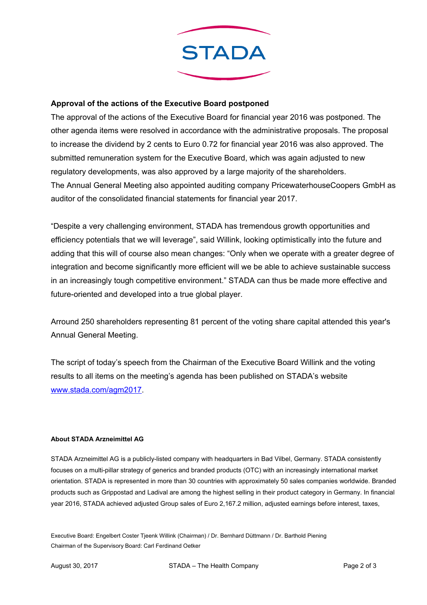

### **Approval of the actions of the Executive Board postponed**

The approval of the actions of the Executive Board for financial year 2016 was postponed. The other agenda items were resolved in accordance with the administrative proposals. The proposal to increase the dividend by 2 cents to Euro 0.72 for financial year 2016 was also approved. The submitted remuneration system for the Executive Board, which was again adjusted to new regulatory developments, was also approved by a large majority of the shareholders. The Annual General Meeting also appointed auditing company PricewaterhouseCoopers GmbH as auditor of the consolidated financial statements for financial year 2017.

"Despite a very challenging environment, STADA has tremendous growth opportunities and efficiency potentials that we will leverage", said Willink, looking optimistically into the future and adding that this will of course also mean changes: "Only when we operate with a greater degree of integration and become significantly more efficient will we be able to achieve sustainable success in an increasingly tough competitive environment." STADA can thus be made more effective and future-oriented and developed into a true global player.

Arround 250 shareholders representing 81 percent of the voting share capital attended this year's Annual General Meeting.

The script of today's speech from the Chairman of the Executive Board Willink and the voting results to all items on the meeting's agenda has been published on STADA's website www.stada.com/agm2017.

#### **About STADA Arzneimittel AG**

STADA Arzneimittel AG is a publicly-listed company with headquarters in Bad Vilbel, Germany. STADA consistently focuses on a multi-pillar strategy of generics and branded products (OTC) with an increasingly international market orientation. STADA is represented in more than 30 countries with approximately 50 sales companies worldwide. Branded products such as Grippostad and Ladival are among the highest selling in their product category in Germany. In financial year 2016, STADA achieved adjusted Group sales of Euro 2,167.2 million, adjusted earnings before interest, taxes,

Executive Board: Engelbert Coster Tjeenk Willink (Chairman) / Dr. Bernhard Düttmann / Dr. Barthold Piening Chairman of the Supervisory Board: Carl Ferdinand Oetker